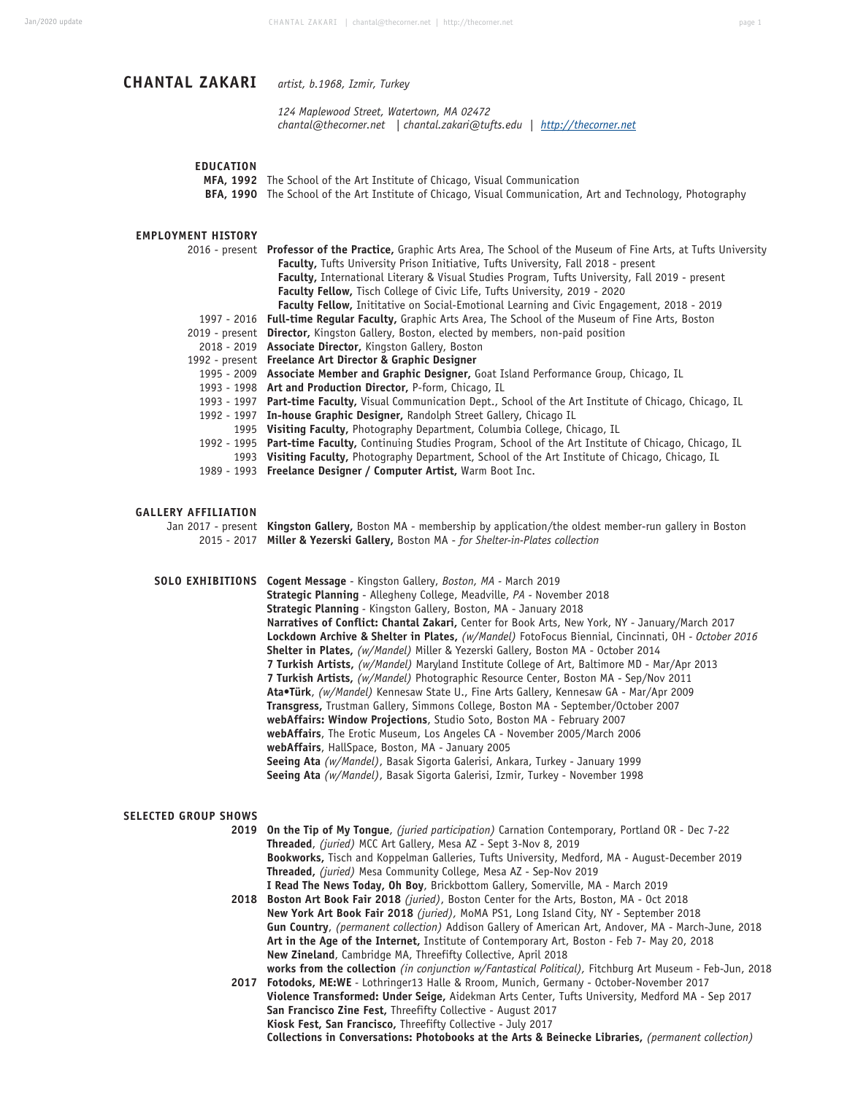# **CHANTAL ZAKARI** *artist, b.1968, Izmir, Turkey*

 *124 Maplewood Street, Watertown, MA 02472 chantal@thecorner.net | chantal.zakari@tufts.edu | http://thecorner.net*

### **EDUCATION**

**MFA, 1992** The School of the Art Institute of Chicago, Visual Communication

**BFA, 1990** The School of the Art Institute of Chicago, Visual Communication, Art and Technology, Photography

### **EMPLOYMENT HISTORY**

| 2016 - present Professor of the Practice, Graphic Arts Area, The School of the Museum of Fine Arts, at Tufts University |
|-------------------------------------------------------------------------------------------------------------------------|
| <b>Faculty, Tufts University Prison Initiative, Tufts University, Fall 2018 - present</b>                               |
| Faculty, International Literary & Visual Studies Program, Tufts University, Fall 2019 - present                         |
| Faculty Fellow, Tisch College of Civic Life, Tufts University, 2019 - 2020                                              |
| <b>Faculty Fellow, Inititative on Social-Emotional Learning and Civic Engagement, 2018 - 2019</b>                       |
| 1997 - 2016 <b>Full-time Reqular Faculty,</b> Graphic Arts Area, The School of the Museum of Fine Arts, Boston          |
| 2019 - present Director, Kingston Gallery, Boston, elected by members, non-paid position                                |
| 2018 - 2019 Associate Director, Kingston Gallery, Boston                                                                |
| 1992 - present Freelance Art Director & Graphic Designer                                                                |
| 1995 - 2009 Associate Member and Graphic Designer, Goat Island Performance Group, Chicago, IL                           |
| 1993 - 1998 Art and Production Director, P-form, Chicago, IL                                                            |
| 1993 - 1997 Part-time Faculty, Visual Communication Dept., School of the Art Institute of Chicago, Chicago, IL          |
| 1992 - 1997 In-house Graphic Designer, Randolph Street Gallery, Chicago IL                                              |
| 1995 Visiting Faculty, Photography Department, Columbia College, Chicago, IL                                            |
| 1992 - 1995 Part-time Faculty, Continuing Studies Program, School of the Art Institute of Chicago, Chicago, IL          |
| 1993 Visiting Faculty, Photography Department, School of the Art Institute of Chicago, Chicago, IL                      |

1989 - 1993 **Freelance Designer / Computer Artist,** Warm Boot Inc.

#### **GALLERY AFFILIATION**

Jan 2017 - present **Kingston Gallery,** Boston MA - membership by application/the oldest member-run gallery in Boston 2015 - 2017 **Miller & Yezerski Gallery,** Boston MA - *for Shelter-in-Plates collection*

**SOLO EXHIBITIONS Cogent Message** - Kingston Gallery, *Boston, MA -* March 2019 **Strategic Planning** - Allegheny College, Meadville, *PA -* November 2018 **Strategic Planning** *-* Kingston Gallery, Boston, MA - January 2018 **Narratives of Conflict: Chantal Zakari,** Center for Book Arts, New York, NY - January/March 2017 **Lockdown Archive & Shelter in Plates,** *(w/Mandel)* FotoFocus Biennial, Cincinnati, OH *- October 2016* **Shelter in Plates,** *(w/Mandel)* Miller & Yezerski Gallery, Boston MA - October 2014 **7 Turkish Artists,** *(w/Mandel)* Maryland Institute College of Art, Baltimore MD - Mar/Apr 2013 **7 Turkish Artists,** *(w/Mandel)* Photographic Resource Center, Boston MA - Sep/Nov 2011 **Ata•Türk**, *(w/Mandel)* Kennesaw State U., Fine Arts Gallery, Kennesaw GA - Mar/Apr 2009 **Transgress,** Trustman Gallery, Simmons College, Boston MA - September/October 2007 **webAffairs: Window Projections**, Studio Soto, Boston MA - February 2007 **webAffairs**, The Erotic Museum, Los Angeles CA - November 2005/March 2006 **webAffairs**, HallSpace, Boston, MA - January 2005 **Seeing Ata** *(w/Mandel)*, Basak Sigorta Galerisi, Ankara, Turkey - January 1999 **Seeing Ata** *(w/Mandel)*, Basak Sigorta Galerisi, Izmir, Turkey - November 1998

#### **SELECTED GROUP SHOWS**

**2019 On the Tip of My Tongue**, *(juried participation)* Carnation Contemporary, Portland OR - Dec 7-22 **Threaded**, *(juried)* MCC Art Gallery, Mesa AZ - Sept 3-Nov 8, 2019 **Bookworks,** Tisch and Koppelman Galleries, Tufts University, Medford, MA - August-December 2019 **Threaded,** *(juried)* Mesa Community College, Mesa AZ - Sep-Nov 2019 **I Read The News Today, Oh Boy**, Brickbottom Gallery, Somerville, MA - March 2019 **2018 Boston Art Book Fair 2018** *(juried)*, Boston Center for the Arts, Boston, MA - Oct 2018 **New York Art Book Fair 2018** *(juried),* MoMA PS1, Long Island City, NY - September 2018 **Gun Country**, *(permanent collection)* Addison Gallery of American Art, Andover, MA - March-June, 2018

**Art in the Age of the Internet,** Institute of Contemporary Art, Boston *-* Feb 7- May 20, 2018 **New Zineland**, Cambridge MA, Threefifty Collective, April 2018 **works from the collection** *(in conjunction w/Fantastical Political),* Fitchburg Art Museum *-* Feb-Jun, 2018 **2017 Fotodoks, ME:WE** *-* Lothringer13 Halle & Rroom, Munich, Germany - October-November 2017 **Violence Transformed: Under Seige,** Aidekman Arts Center, Tufts University, Medford MA - Sep 2017

**San Francisco Zine Fest,** Threefifty Collective - August 2017 **Kiosk Fest, San Francisco,** Threefifty Collective - July 2017

**Collections in Conversations: Photobooks at the Arts & Beinecke Libraries,** *(permanent collection)*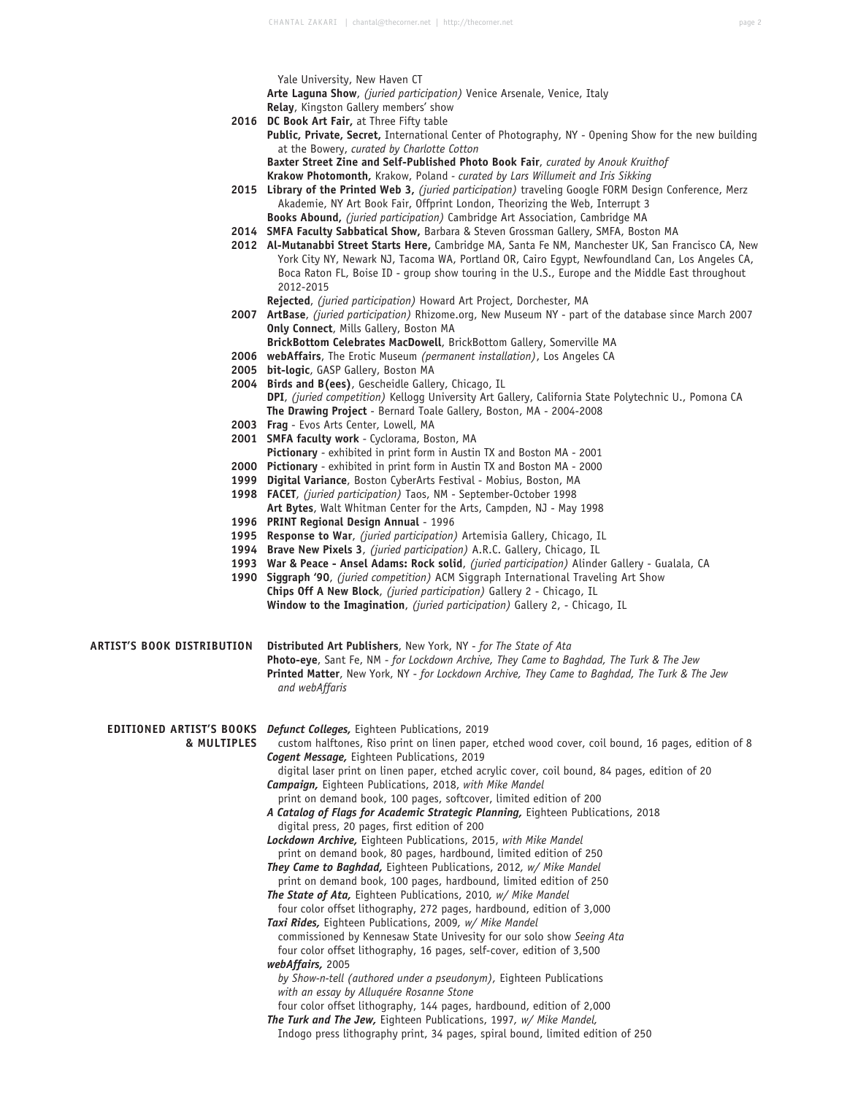Yale University, New Haven CT

**Arte Laguna Show**, *(juried participation)* Venice Arsenale, Venice, Italy

- **Relay**, Kingston Gallery members' show
- **2016 DC Book Art Fair,** at Three Fifty table **Public, Private, Secret,** International Center of Photography, NY - Opening Show for the new building at the Bowery, *curated by Charlotte Cotton*

**Baxter Street Zine and Self-Published Photo Book Fair**, *curated by Anouk Kruithof* **Krakow Photomonth,** Krakow, Poland *- curated by Lars Willumeit and Iris Sikking*

- **2015 Library of the Printed Web 3,** *(juried participation)* traveling Google FORM Design Conference, Merz Akademie, NY Art Book Fair, Offprint London, Theorizing the Web, Interrupt 3 **Books Abound,** *(juried participation)* Cambridge Art Association, Cambridge MA
- **2014 SMFA Faculty Sabbatical Show,** Barbara & Steven Grossman Gallery, SMFA, Boston MA
- **2012 Al-Mutanabbi Street Starts Here,** Cambridge MA, Santa Fe NM, Manchester UK, San Francisco CA, New York City NY, Newark NJ, Tacoma WA, Portland OR, Cairo Egypt, Newfoundland Can, Los Angeles CA, Boca Raton FL, Boise ID - group show touring in the U.S., Europe and the Middle East throughout 2012-2015
	- **Rejected**, *(juried participation)* Howard Art Project, Dorchester, MA
- **2007 ArtBase**, *(juried participation)* Rhizome.org, New Museum NY part of the database since March 2007 **Only Connect**, Mills Gallery, Boston MA
	- **BrickBottom Celebrates MacDowell**, BrickBottom Gallery, Somerville MA
- **2006 webAffairs**, The Erotic Museum *(permanent installation)*, Los Angeles CA
- **2005 bit-logic**, GASP Gallery, Boston MA
- **2004 Birds and B(ees)**, Gescheidle Gallery, Chicago, IL **DPI**, *(juried competition)* Kellogg University Art Gallery, California State Polytechnic U., Pomona CA **The Drawing Project** - Bernard Toale Gallery, Boston, MA - 2004-2008
- **2003 Frag** Evos Arts Center, Lowell, MA
- **2001 SMFA faculty work** Cyclorama, Boston, MA
- **Pictionary** exhibited in print form in Austin TX and Boston MA 2001
- **2000 Pictionary** exhibited in print form in Austin TX and Boston MA 2000
- **1999 Digital Variance**, Boston CyberArts Festival Mobius, Boston, MA
- **1998 FACET**, *(juried participation)* Taos, NM September-October 1998 **Art Bytes**, Walt Whitman Center for the Arts, Campden, NJ - May 1998 **1996 PRINT Regional Design Annual** - 1996
- 
- **1995 Response to War**, *(juried participation)* Artemisia Gallery, Chicago, IL
- **1994 Brave New Pixels 3**, *(juried participation)* A.R.C. Gallery, Chicago, IL
- **1993 War & Peace Ansel Adams: Rock solid**, *(juried participation)* Alinder Gallery Gualala, CA
- **1990 Siggraph '90**, *(juried competition)* ACM Siggraph International Traveling Art Show **Chips Off A New Block**, *(juried participation)* Gallery 2 - Chicago, IL **Window to the Imagination**, *(juried participation)* Gallery 2, - Chicago, IL

**ARTIST'S BOOK DISTRIBUTION Distributed Art Publishers**, New York, NY - *for The State of Ata* **Photo-eye**, Sant Fe, NM - *for Lockdown Archive, They Came to Baghdad, The Turk & The Jew* **Printed Matter**, New York, NY - *for Lockdown Archive, They Came to Baghdad, The Turk & The Jew and webAffaris*

**EDITIONED ARTIST'S BOOKS** *Defunct Colleges,* Eighteen Publications, 2019

**& MULTIPLES** custom halftones, Riso print on linen paper, etched wood cover, coil bound, 16 pages, edition of 8 *Cogent Message,* Eighteen Publications, 2019

 digital laser print on linen paper, etched acrylic cover, coil bound, 84 pages, edition of 20 *Campaign,* Eighteen Publications, 2018, *with Mike Mandel*

- print on demand book, 100 pages, softcover, limited edition of 200
- *A Catalog of Flags for Academic Strategic Planning,* Eighteen Publications, 2018 digital press, 20 pages, first edition of 200
- *Lockdown Archive,* Eighteen Publications, 2015, *with Mike Mandel* print on demand book, 80 pages, hardbound, limited edition of 250
- *They Came to Baghdad,* Eighteen Publications, 2012*, w/ Mike Mandel* print on demand book, 100 pages, hardbound, limited edition of 250
- *The State of Ata,* Eighteen Publications, 2010*, w/ Mike Mandel* four color offset lithography, 272 pages, hardbound, edition of 3,000
- *Taxi Rides,* Eighteen Publications, 2009*, w/ Mike Mandel* commissioned by Kennesaw State Univesity for our solo show *Seeing Ata*
- four color offset lithography, 16 pages, self-cover, edition of 3,500 *webAffairs,* 2005
- *by Show-n-tell (authored under a pseudonym),* Eighteen Publications  *with an essay by Alluquére Rosanne Stone*
- four color offset lithography, 144 pages, hardbound, edition of 2,000 *The Turk and The Jew,* Eighteen Publications, 1997*, w/ Mike Mandel,*  Indogo press lithography print, 34 pages, spiral bound, limited edition of 250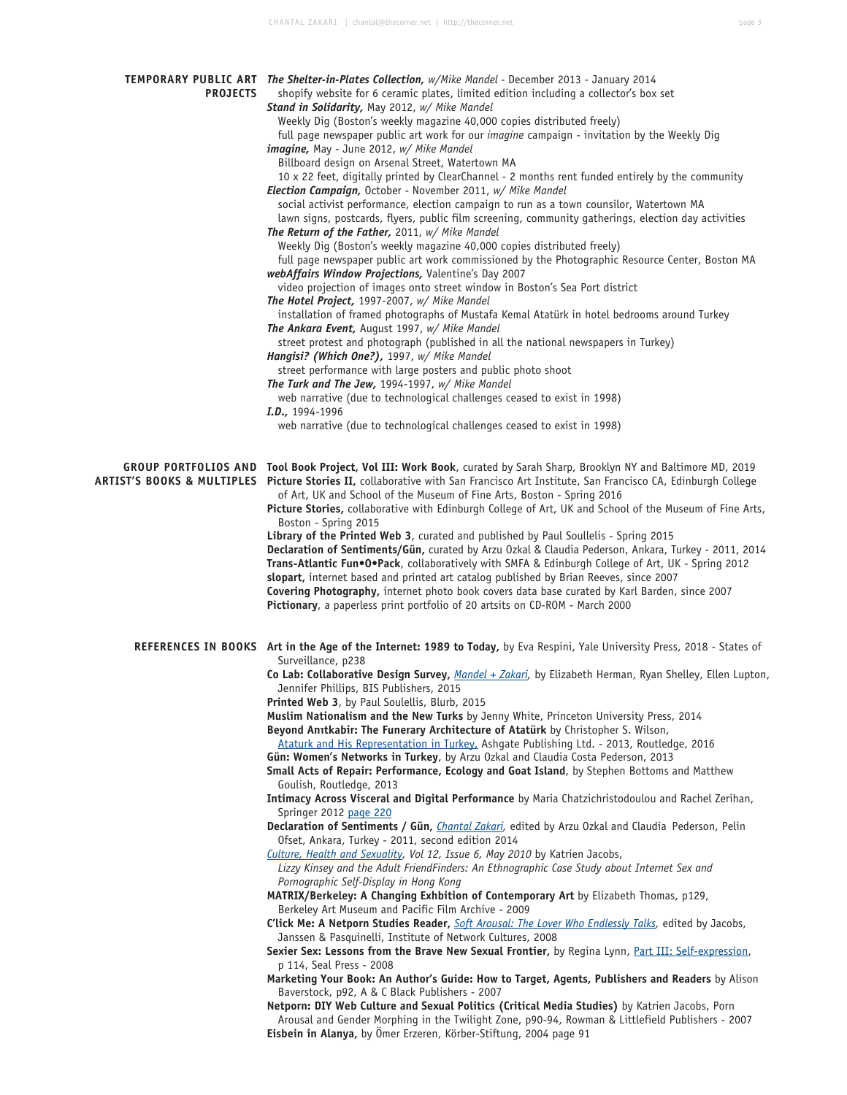| <b>PROJECTS</b> | TEMPORARY PUBLIC ART The Shelter-in-Plates Collection, w/Mike Mandel - December 2013 - January 2014<br>shopify website for 6 ceramic plates, limited edition including a collector's box set<br>Stand in Solidarity, May 2012, w/ Mike Mandel<br>Weekly Dig (Boston's weekly magazine 40,000 copies distributed freely)<br>full page newspaper public art work for our <i>imagine</i> campaign - invitation by the Weekly Dig<br>imagine, May - June 2012, w/ Mike Mandel<br>Billboard design on Arsenal Street, Watertown MA<br>10 x 22 feet, digitally printed by ClearChannel - 2 months rent funded entirely by the community<br>Election Campaign, October - November 2011, w/ Mike Mandel<br>social activist performance, election campaign to run as a town counsilor, Watertown MA<br>lawn signs, postcards, flyers, public film screening, community gatherings, election day activities<br>The Return of the Father, 2011, w/ Mike Mandel<br>Weekly Dig (Boston's weekly magazine 40,000 copies distributed freely)<br>full page newspaper public art work commissioned by the Photographic Resource Center, Boston MA<br>webAffairs Window Projections, Valentine's Day 2007<br>video projection of images onto street window in Boston's Sea Port district<br>The Hotel Project, 1997-2007, w/ Mike Mandel<br>installation of framed photographs of Mustafa Kemal Atatürk in hotel bedrooms around Turkey<br>The Ankara Event, August 1997, w/ Mike Mandel<br>street protest and photograph (published in all the national newspapers in Turkey)<br>Hangisi? (Which One?), 1997, w/ Mike Mandel<br>street performance with large posters and public photo shoot<br>The Turk and The Jew, 1994-1997, w/ Mike Mandel |
|-----------------|--------------------------------------------------------------------------------------------------------------------------------------------------------------------------------------------------------------------------------------------------------------------------------------------------------------------------------------------------------------------------------------------------------------------------------------------------------------------------------------------------------------------------------------------------------------------------------------------------------------------------------------------------------------------------------------------------------------------------------------------------------------------------------------------------------------------------------------------------------------------------------------------------------------------------------------------------------------------------------------------------------------------------------------------------------------------------------------------------------------------------------------------------------------------------------------------------------------------------------------------------------------------------------------------------------------------------------------------------------------------------------------------------------------------------------------------------------------------------------------------------------------------------------------------------------------------------------------------------------------------------------------------------------------------------------------------------------------------------------|
|                 | web narrative (due to technological challenges ceased to exist in 1998)<br>I.D., 1994-1996                                                                                                                                                                                                                                                                                                                                                                                                                                                                                                                                                                                                                                                                                                                                                                                                                                                                                                                                                                                                                                                                                                                                                                                                                                                                                                                                                                                                                                                                                                                                                                                                                                     |
|                 | web narrative (due to technological challenges ceased to exist in 1998)                                                                                                                                                                                                                                                                                                                                                                                                                                                                                                                                                                                                                                                                                                                                                                                                                                                                                                                                                                                                                                                                                                                                                                                                                                                                                                                                                                                                                                                                                                                                                                                                                                                        |
|                 | GROUP PORTFOLIOS AND Tool Book Project, Vol III: Work Book, curated by Sarah Sharp, Brooklyn NY and Baltimore MD, 2019<br>ARTIST'S BOOKS & MULTIPLES Picture Stories II, collaborative with San Francisco Art Institute, San Francisco CA, Edinburgh College<br>of Art, UK and School of the Museum of Fine Arts, Boston - Spring 2016<br>Picture Stories, collaborative with Edinburgh College of Art, UK and School of the Museum of Fine Arts,<br>Boston - Spring 2015<br>Library of the Printed Web 3, curated and published by Paul Soullelis - Spring 2015<br>Declaration of Sentiments/Gün, curated by Arzu Ozkal & Claudia Pederson, Ankara, Turkey - 2011, 2014<br>Trans-Atlantic Fun®O®Pack, collaboratively with SMFA & Edinburgh College of Art, UK - Spring 2012<br>slopart, internet based and printed art catalog published by Brian Reeves, since 2007<br>Covering Photography, internet photo book covers data base curated by Karl Barden, since 2007<br>Pictionary, a paperless print portfolio of 20 artsits on CD-ROM - March 2000                                                                                                                                                                                                                                                                                                                                                                                                                                                                                                                                                                                                                                                                        |
|                 | REFERENCES IN BOOKS Art in the Age of the Internet: 1989 to Today, by Eva Respini, Yale University Press, 2018 - States of<br>Surveillance, p238<br>Co Lab: Collaborative Design Survey, Mandel + Zakari, by Elizabeth Herman, Ryan Shelley, Ellen Lupton,                                                                                                                                                                                                                                                                                                                                                                                                                                                                                                                                                                                                                                                                                                                                                                                                                                                                                                                                                                                                                                                                                                                                                                                                                                                                                                                                                                                                                                                                     |
|                 | Jennifer Phillips, BIS Publishers, 2015                                                                                                                                                                                                                                                                                                                                                                                                                                                                                                                                                                                                                                                                                                                                                                                                                                                                                                                                                                                                                                                                                                                                                                                                                                                                                                                                                                                                                                                                                                                                                                                                                                                                                        |
|                 | Printed Web 3, by Paul Soulellis, Blurb, 2015<br>Muslim Nationalism and the New Turks by Jenny White, Princeton University Press, 2014                                                                                                                                                                                                                                                                                                                                                                                                                                                                                                                                                                                                                                                                                                                                                                                                                                                                                                                                                                                                                                                                                                                                                                                                                                                                                                                                                                                                                                                                                                                                                                                         |
|                 | Beyond Anitkabir: The Funerary Architecture of Atatürk by Christopher S. Wilson,<br>Ataturk and His Representation in Turkey, Ashgate Publishing Ltd. - 2013, Routledge, 2016<br>Gün: Women's Networks in Turkey, by Arzu Ozkal and Claudia Costa Pederson, 2013<br>Small Acts of Repair: Performance, Ecology and Goat Island, by Stephen Bottoms and Matthew                                                                                                                                                                                                                                                                                                                                                                                                                                                                                                                                                                                                                                                                                                                                                                                                                                                                                                                                                                                                                                                                                                                                                                                                                                                                                                                                                                 |
|                 | Goulish, Routledge, 2013<br>Intimacy Across Visceral and Digital Performance by Maria Chatzichristodoulou and Rachel Zerihan,<br>Springer 2012 page 220                                                                                                                                                                                                                                                                                                                                                                                                                                                                                                                                                                                                                                                                                                                                                                                                                                                                                                                                                                                                                                                                                                                                                                                                                                                                                                                                                                                                                                                                                                                                                                        |
|                 | Declaration of Sentiments / Gün, <i>Chantal Zakari</i> , edited by Arzu Ozkal and Claudia Pederson, Pelin<br>Ofset, Ankara, Turkey - 2011, second edition 2014                                                                                                                                                                                                                                                                                                                                                                                                                                                                                                                                                                                                                                                                                                                                                                                                                                                                                                                                                                                                                                                                                                                                                                                                                                                                                                                                                                                                                                                                                                                                                                 |
|                 | Culture, Health and Sexuality, Vol 12, Issue 6, May 2010 by Katrien Jacobs,<br>Lizzy Kinsey and the Adult FriendFinders: An Ethnographic Case Study about Internet Sex and<br>Pornographic Self-Display in Hong Kong                                                                                                                                                                                                                                                                                                                                                                                                                                                                                                                                                                                                                                                                                                                                                                                                                                                                                                                                                                                                                                                                                                                                                                                                                                                                                                                                                                                                                                                                                                           |
|                 | MATRIX/Berkeley: A Changing Exhbition of Contemporary Art by Elizabeth Thomas, p129,<br>Berkeley Art Museum and Pacific Film Archive - 2009                                                                                                                                                                                                                                                                                                                                                                                                                                                                                                                                                                                                                                                                                                                                                                                                                                                                                                                                                                                                                                                                                                                                                                                                                                                                                                                                                                                                                                                                                                                                                                                    |
|                 | C'lick Me: A Netporn Studies Reader, <i>Soft Arousal: The Lover Who Endlessly Talks</i> , edited by Jacobs,<br>Janssen & Pasquinelli, Institute of Network Cultures, 2008                                                                                                                                                                                                                                                                                                                                                                                                                                                                                                                                                                                                                                                                                                                                                                                                                                                                                                                                                                                                                                                                                                                                                                                                                                                                                                                                                                                                                                                                                                                                                      |
|                 | Sexier Sex: Lessons from the Brave New Sexual Frontier, by Regina Lynn, Part III: Self-expression,<br>p 114, Seal Press - 2008                                                                                                                                                                                                                                                                                                                                                                                                                                                                                                                                                                                                                                                                                                                                                                                                                                                                                                                                                                                                                                                                                                                                                                                                                                                                                                                                                                                                                                                                                                                                                                                                 |
|                 | Marketing Your Book: An Author's Guide: How to Target, Agents, Publishers and Readers by Alison<br>Baverstock, p92, A & C Black Publishers - 2007                                                                                                                                                                                                                                                                                                                                                                                                                                                                                                                                                                                                                                                                                                                                                                                                                                                                                                                                                                                                                                                                                                                                                                                                                                                                                                                                                                                                                                                                                                                                                                              |
|                 | Netporn: DIY Web Culture and Sexual Politics (Critical Media Studies) by Katrien Jacobs, Porn<br>Arousal and Gender Morphing in the Twilight Zone, p90-94, Rowman & Littlefield Publishers - 2007<br>Eisbein in Alanya, by Omer Erzeren, Körber-Stiftung, 2004 page 91                                                                                                                                                                                                                                                                                                                                                                                                                                                                                                                                                                                                                                                                                                                                                                                                                                                                                                                                                                                                                                                                                                                                                                                                                                                                                                                                                                                                                                                         |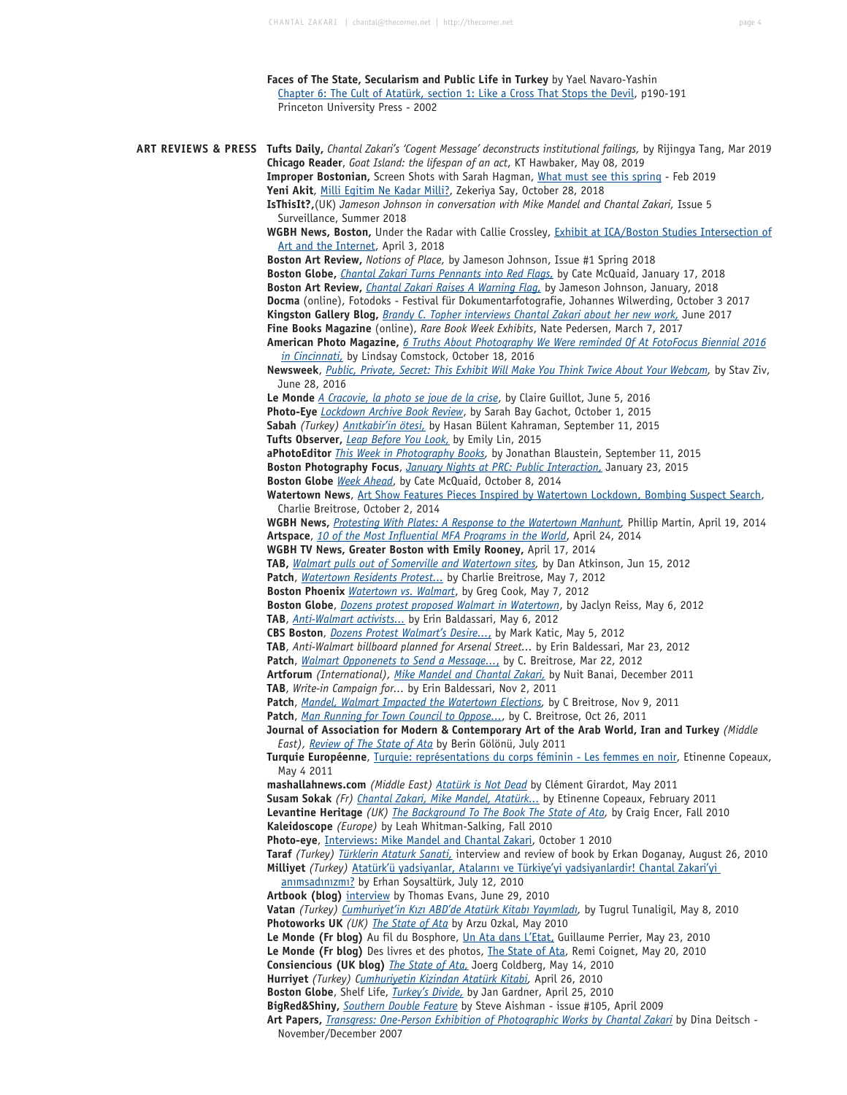**Faces of The State, Secularism and Public Life in Turkey** by Yael Navaro-Yashin Chapter 6: The Cult of Atatürk, section 1: Like a Cross That Stops the Devil, p190-191 Princeton University Press - 2002

**ART REVIEWS & PRESS Tufts Daily,** *Chantal Zakari's 'Cogent Message' deconstructs institutional failings,* by Rijingya Tang, Mar 2019 **Chicago Reader**, *Goat Island: the lifespan of an act*, KT Hawbaker, May 08, 2019 **Improper Bostonian,** Screen Shots with Sarah Hagman, What must see this spring - Feb 2019 Yeni Akit, Milli Egitim Ne Kadar Milli?, Zekeriya Say, October 28, 2018 **IsThisIt?,**(UK) *Jameson Johnson in conversation with Mike Mandel and Chantal Zakari,* Issue 5 Surveillance, Summer 2018 **WGBH News, Boston,** Under the Radar with Callie Crossley, Exhibit at ICA/Boston Studies Intersection of Art and the Internet, April 3, 2018 **Boston Art Review,** *Notions of Place,* by Jameson Johnson, Issue #1 Spring 2018 **Boston Globe,** *Chantal Zakari Turns Pennants into Red Flags,* by Cate McQuaid, January 17, 2018 **Boston Art Review,** *Chantal Zakari Raises A Warning Flag,* by Jameson Johnson, January, 2018 **Docma** (online), Fotodoks - Festival für Dokumentarfotografie, Johannes Wilwerding, October 3 2017 **Kingston Gallery Blog,** *Brandy C. Topher interviews Chantal Zakari about her new work,* June 2017 **Fine Books Magazine** (online), *Rare Book Week Exhibits*, Nate Pedersen, March 7, 2017 **American Photo Magazine,** *6 Truths About Photography We Were reminded Of At FotoFocus Biennial 2016 in Cincinnati,* by Lindsay Comstock, October 18, 2016 **Newsweek**, *Public, Private, Secret: This Exhibit Will Make You Think Twice About Your Webcam,* by Stav Ziv, June 28, 2016 **Le Monde** *A Cracovie, la photo se joue de la crise*, by Claire Guillot, June 5, 2016 **Photo-Eye** *Lockdown Archive Book Review*, by Sarah Bay Gachot, October 1, 2015 **Sabah** *(Turkey) Anıtkabir'in ötesi,* by Hasan Bülent Kahraman, September 11, 2015 **Tufts Observer,** *Leap Before You Look,* by Emily Lin, 2015 **aPhotoEditor** *This Week in Photography Books,* by Jonathan Blaustein, September 11, 2015 **Boston Photography Focus**, *January Nights at PRC: Public Interaction,* January 23, 2015 **Boston Globe** *Week Ahead*, by Cate McQuaid, October 8, 2014  **Watertown News**, Art Show Features Pieces Inspired by Watertown Lockdown, Bombing Suspect Search, Charlie Breitrose, October 2, 2014  **WGBH News,** *Protesting With Plates: A Response to the Watertown Manhunt,* Phillip Martin, April 19, 2014 **Artspace**, *10 of the Most Influential MFA Programs in the World*, April 24, 2014 **WGBH TV News, Greater Boston with Emily Rooney,** April 17, 2014 **TAB,** *Walmart pulls out of Somerville and Watertown sites,* by Dan Atkinson, Jun 15, 2012 **Patch**, *Watertown Residents Protest...* by Charlie Breitrose, May 7, 2012 **Boston Phoenix** *Watertown vs. Walmart*, by Greg Cook, May 7, 2012 **Boston Globe**, *Dozens protest proposed Walmart in Watertown*, by Jaclyn Reiss, May 6, 2012 **TAB**, *Anti-Walmart activists...* by Erin Baldassari, May 6, 2012 **CBS Boston**, *Dozens Protest Walmart's Desire...*, by Mark Katic, May 5, 2012 **TAB**, *Anti-Walmart billboard planned for Arsenal Street...* by Erin Baldessari, Mar 23, 2012 **Patch**, *Walmart Opponenets to Send a Message...*, by C. Breitrose, Mar 22, 2012 **Artforum** *(International), Mike Mandel and Chantal Zakari,* by Nuit Banai, December 2011 **TAB**, *Write-in Campaign for...* by Erin Baldessari, Nov 2, 2011 **Patch**, *Mandel, Walmart Impacted the Watertown Elections,* by C Breitrose, Nov 9, 2011 **Patch**, *Man Running for Town Council to Oppose...*, by C. Breitrose, Oct 26, 2011 **Journal of Association for Modern & Contemporary Art of the Arab World, Iran and Turkey** *(Middle East), Review of The State of Ata* by Berin Gölönü, July 2011 **Turquie Européenne**, Turquie: représentations du corps féminin - Les femmes en noir, Etinenne Copeaux, May 4 2011 **mashallahnews.com** *(Middle East) Atatürk is Not Dead* by Clément Girardot, May 2011 **Susam Sokak** *(Fr) Chantal Zakari, Mike Mandel, Atatürk...* by Etinenne Copeaux, February 2011 **Levantine Heritage** *(UK) The Background To The Book The State of Ata,* by Craig Encer, Fall 2010 **Kaleidoscope** *(Europe)* by Leah Whitman-Salking, Fall 2010 **Photo-eye**, Interviews: Mike Mandel and Chantal Zakari, October 1 2010 **Taraf** *(Turkey) Türklerin Ataturk Sanati,* interview and review of book by Erkan Doganay, August 26, 2010 **Milliyet** *(Turkey)* Atatürk'ü yadsiyanlar, Atalarını ve Türkiye'yi yadsiyanlardir! Chantal Zakari'yi anımsadınızmı? by Erhan Soysaltürk, July 12, 2010 **Artbook (blog)** interview by Thomas Evans, June 29, 2010 **Vatan** *(Turkey) Cumhuriyet'in Kızı ABD'de Atatürk Kitabı Yayımladı,* by Tugrul Tunaligil, May 8, 2010 **Photoworks UK** *(UK) The State of Ata* by Arzu Ozkal, May 2010 **Le Monde (Fr blog)** Au fil du Bosphore, Un Ata dans L'Etat, Guillaume Perrier, May 23, 2010 **Le Monde (Fr blog)** Des livres et des photos, The State of Ata, Remi Coignet, May 20, 2010 **Consiencious (UK blog)** *The State of Ata,* Joerg Coldberg, May 14, 2010 **Hurriyet** *(Turkey) Cumhuriyetin Kizindan Atatürk Kitabi,* April 26, 2010 **Boston Globe**, Shelf Life, *Turkey's Divide,* by Jan Gardner, April 25, 2010 **BigRed&Shiny,** *Southern Double Feature* by Steve Aishman - issue #105, April 2009 **Art Papers,** *Transgress: One-Person Exhibition of Photographic Works by Chantal Zakari* by Dina Deitsch - November/December 2007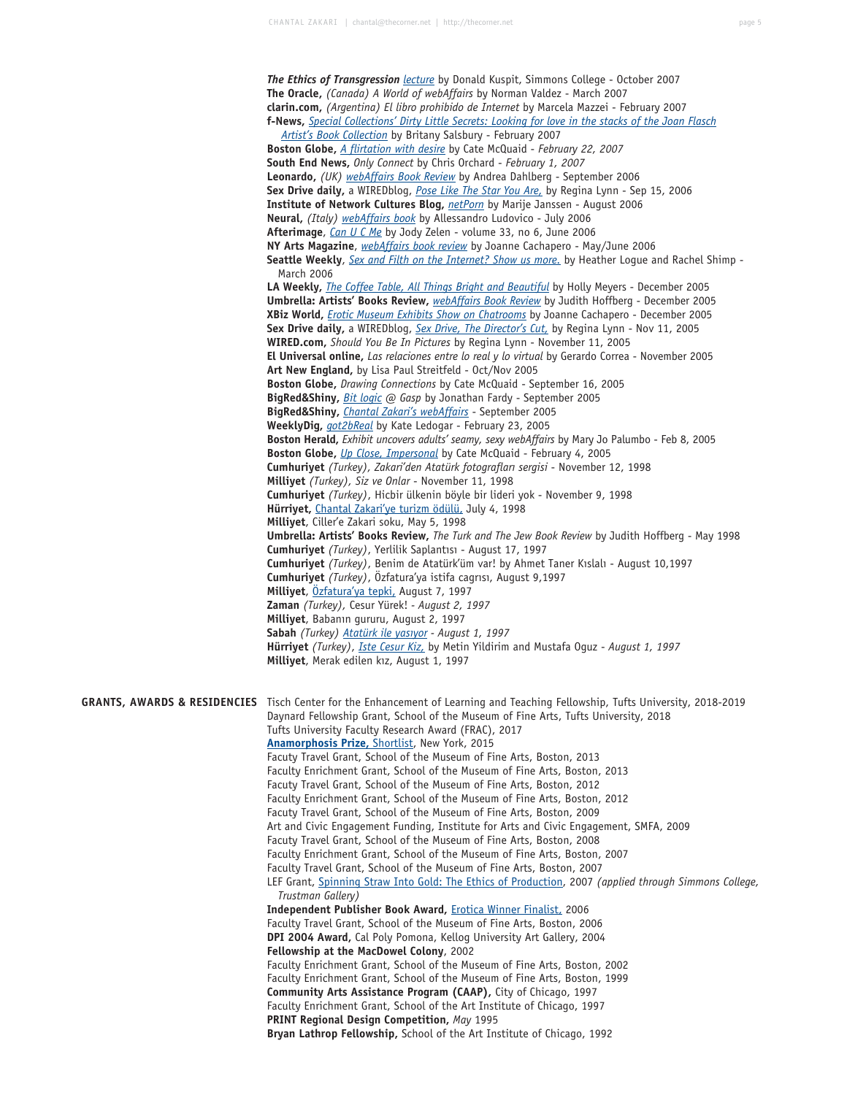*The Ethics of Transgression lecture* by Donald Kuspit, Simmons College - October 2007 **The Oracle,** *(Canada) A World of webAffairs* by Norman Valdez - March 2007 **clarin.com,** *(Argentina) El libro prohibido de Internet* by Marcela Mazzei - February 2007 **f-News,** *Special Collections' Dirty Little Secrets: Looking for love in the stacks of the Joan Flasch Artist's Book Collection* by Britany Salsbury - February 2007 **Boston Globe,** *A flirtation with desire* by Cate McQuaid - *February 22, 2007* **South End News,** *Only Connect* by Chris Orchard - *February 1, 2007* **Leonardo,** *(UK) webAffairs Book Review* by Andrea Dahlberg - September 2006 **Sex Drive daily,** a WIREDblog, *Pose Like The Star You Are,* by Regina Lynn - Sep 15, 2006 **Institute of Network Cultures Blog,** *netPorn* by Marije Janssen - August 2006 **Neural,** *(Italy) webAffairs book* by Allessandro Ludovico - July 2006 **Afterimage**, *Can U C Me* by Jody Zelen - volume 33, no 6, June 2006 **NY Arts Magazine**, *webAffairs book review* by Joanne Cachapero - May/June 2006 **Seattle Weekly**, *Sex and Filth on the Internet? Show us more.* by Heather Logue and Rachel Shimp - March 2006 **LA Weekly,** *The Coffee Table, All Things Bright and Beautiful* by Holly Meyers - December 2005 **Umbrella: Artists' Books Review,** *webAffairs Book Review* by Judith Hoffberg - December 2005 **XBiz World,** *Erotic Museum Exhibits Show on Chatrooms* by Joanne Cachapero - December 2005 **Sex Drive daily,** a WIREDblog, *Sex Drive, The Director's Cut,* by Regina Lynn - Nov 11, 2005 **WIRED.com,** *Should You Be In Pictures* by Regina Lynn - November 11, 2005 **El Universal online,** *Las relaciones entre lo real y lo virtual* by Gerardo Correa - November 2005 **Art New England,** by Lisa Paul Streitfeld - Oct/Nov 2005 **Boston Globe,** *Drawing Connections* by Cate McQuaid - September 16, 2005 **BigRed&Shiny,** *Bit logic @ Gasp* by Jonathan Fardy - September 2005 **BigRed&Shiny,** *Chantal Zakari's webAffairs* - September 2005 **WeeklyDig,** *got2bReal* by Kate Ledogar - February 23, 2005 **Boston Herald,** *Exhibit uncovers adults' seamy, sexy webAffairs* by Mary Jo Palumbo - Feb 8, 2005 **Boston Globe,** *Up Close, Impersonal* by Cate McQuaid - February 4, 2005 **Cumhuriyet** *(Turkey), Zakari'den Atatürk fotografları sergisi* - November 12, 1998 **Milliyet** *(Turkey), Siz ve Onlar* - November 11, 1998 **Cumhuriyet** *(Turkey)*, Hicbir ülkenin böyle bir lideri yok - November 9, 1998 **Hürriyet,** Chantal Zakari'ye turizm ödülü, July 4, 1998 **Milliyet**, Ciller'e Zakari soku, May 5, 1998 **Umbrella: Artists' Books Review,** *The Turk and The Jew Book Review* by Judith Hoffberg - May 1998 **Cumhuriyet** *(Turkey)*, Yerlilik Saplantısı - August 17, 1997 **Cumhuriyet** *(Turkey)*, Benim de Atatürk'üm var! by Ahmet Taner Kıslalı - August 10,1997 **Cumhuriyet** *(Turkey)*, Özfatura'ya istifa cagrısı, August 9,1997 **Milliyet**, Özfatura'ya tepki, August 7, 1997 **Zaman** *(Turkey),* Cesur Yürek! *- August 2, 1997* **Milliyet**, Babanın gururu, August 2, 1997 **Sabah** *(Turkey) Atatürk ile yasıyor - August 1, 1997* **Hürriyet** *(Turkey)*, *Iste Cesur Kiz,* by Metin Yildirim and Mustafa Oguz - *August 1, 1997* **Milliyet**, Merak edilen kız, August 1, 1997 **GRANTS, AWARDS & RESIDENCIES** Tisch Center for the Enhancement of Learning and Teaching Fellowship, Tufts University, 2018-2019 Daynard Fellowship Grant, School of the Museum of Fine Arts, Tufts University, 2018 Tufts University Faculty Research Award (FRAC), 2017  **Anamorphosis Prize,** Shortlist, New York, 2015 Facuty Travel Grant, School of the Museum of Fine Arts, Boston, 2013 Faculty Enrichment Grant, School of the Museum of Fine Arts, Boston, 2013 Facuty Travel Grant, School of the Museum of Fine Arts, Boston, 2012 Faculty Enrichment Grant, School of the Museum of Fine Arts, Boston, 2012 Facuty Travel Grant, School of the Museum of Fine Arts, Boston, 2009 Art and Civic Engagement Funding, Institute for Arts and Civic Engagement, SMFA, 2009 Facuty Travel Grant, School of the Museum of Fine Arts, Boston, 2008 Faculty Enrichment Grant, School of the Museum of Fine Arts, Boston, 2007 Faculty Travel Grant, School of the Museum of Fine Arts, Boston, 2007 LEF Grant, Spinning Straw Into Gold: The Ethics of Production, 2007 *(applied through Simmons College, Trustman Gallery)* **Independent Publisher Book Award,** Erotica Winner Finalist, 2006 Faculty Travel Grant, School of the Museum of Fine Arts, Boston, 2006 **DPI 2004 Award,** Cal Poly Pomona, Kellog University Art Gallery, 2004 **Fellowship at the MacDowel Colony**, 2002 Faculty Enrichment Grant, School of the Museum of Fine Arts, Boston, 2002 Faculty Enrichment Grant, School of the Museum of Fine Arts, Boston, 1999 **Community Arts Assistance Program (CAAP),** City of Chicago, 1997 Faculty Enrichment Grant, School of the Art Institute of Chicago, 1997 **PRINT Regional Design Competition,** *May* 1995 **Bryan Lathrop Fellowship,** School of the Art Institute of Chicago, 1992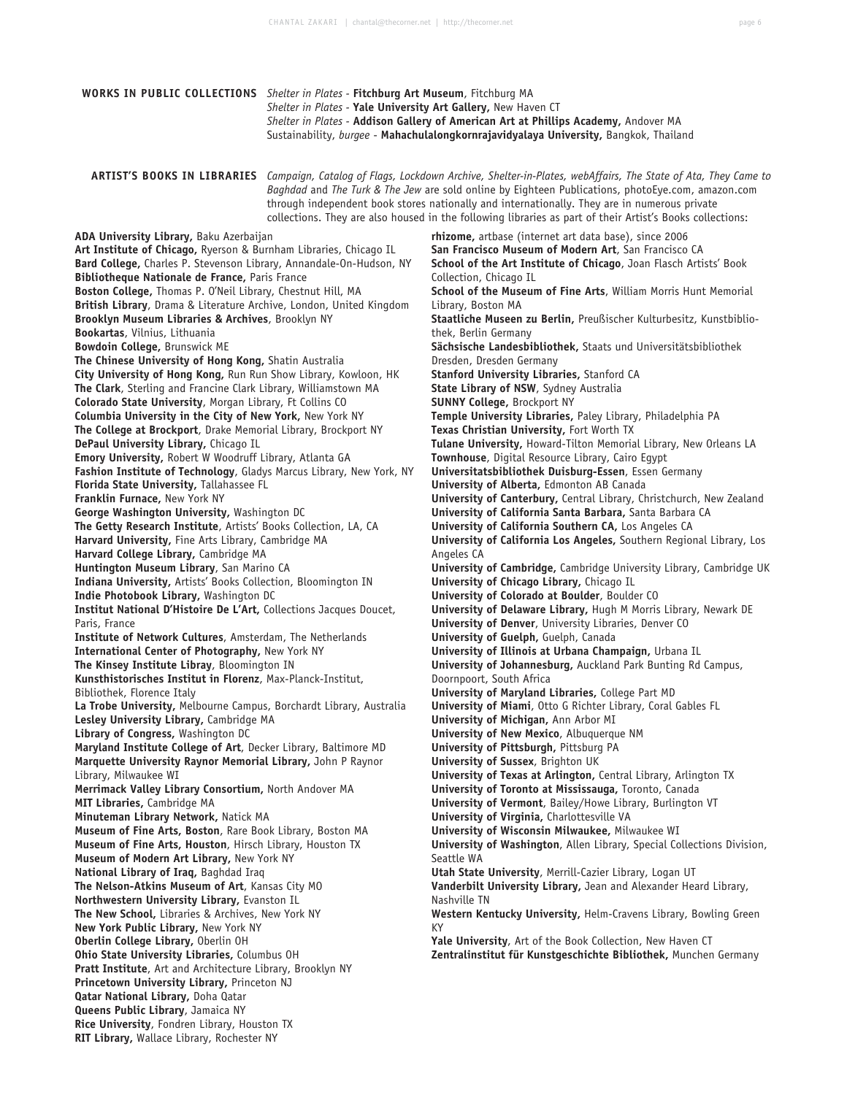| <b>WORKS IN PUBLIC COLLECTIONS</b> Shelter in Plates - Fitchburg Art Museum, Fitchburg MA                                                                                                                                                                                                                                                                                                                                                                                                                                                                                                                                                                                                                                                                                                                                                                                                                                                                                                                                                                                                                                                                                                                                                                                                                                                                                                                                                                                                                                                                                                                                                                                                                                                                                                                                                                                                                                                                                                                                                                                                                                                                                                                                                                                                                                                                                                                                                                                                                                                                                                                                                                                                                                                                                                                                                                                                                                                                       | Shelter in Plates - Yale University Art Gallery, New Haven CT | Shelter in Plates - Addison Gallery of American Art at Phillips Academy, Andover MA<br>Sustainability, burgee - Mahachulalongkornrajavidyalaya University, Bangkok, Thailand                                                                                                                                                                                                                                                                                                                                                                                                                                                                                                                                                                                                                                                                                                                                                                                                                                                                                                                                                                                                                                                                                                                                                                                                                                                                                                                                                                                                                                                                                                                                                                                                                                                                                                                                                                                                                                                                                                                                                                                                                                                                                                                                                                                                                                                                                                                                                                                                                                                                                                                                                                                                                   |
|-----------------------------------------------------------------------------------------------------------------------------------------------------------------------------------------------------------------------------------------------------------------------------------------------------------------------------------------------------------------------------------------------------------------------------------------------------------------------------------------------------------------------------------------------------------------------------------------------------------------------------------------------------------------------------------------------------------------------------------------------------------------------------------------------------------------------------------------------------------------------------------------------------------------------------------------------------------------------------------------------------------------------------------------------------------------------------------------------------------------------------------------------------------------------------------------------------------------------------------------------------------------------------------------------------------------------------------------------------------------------------------------------------------------------------------------------------------------------------------------------------------------------------------------------------------------------------------------------------------------------------------------------------------------------------------------------------------------------------------------------------------------------------------------------------------------------------------------------------------------------------------------------------------------------------------------------------------------------------------------------------------------------------------------------------------------------------------------------------------------------------------------------------------------------------------------------------------------------------------------------------------------------------------------------------------------------------------------------------------------------------------------------------------------------------------------------------------------------------------------------------------------------------------------------------------------------------------------------------------------------------------------------------------------------------------------------------------------------------------------------------------------------------------------------------------------------------------------------------------------------------------------------------------------------------------------------------------------|---------------------------------------------------------------|------------------------------------------------------------------------------------------------------------------------------------------------------------------------------------------------------------------------------------------------------------------------------------------------------------------------------------------------------------------------------------------------------------------------------------------------------------------------------------------------------------------------------------------------------------------------------------------------------------------------------------------------------------------------------------------------------------------------------------------------------------------------------------------------------------------------------------------------------------------------------------------------------------------------------------------------------------------------------------------------------------------------------------------------------------------------------------------------------------------------------------------------------------------------------------------------------------------------------------------------------------------------------------------------------------------------------------------------------------------------------------------------------------------------------------------------------------------------------------------------------------------------------------------------------------------------------------------------------------------------------------------------------------------------------------------------------------------------------------------------------------------------------------------------------------------------------------------------------------------------------------------------------------------------------------------------------------------------------------------------------------------------------------------------------------------------------------------------------------------------------------------------------------------------------------------------------------------------------------------------------------------------------------------------------------------------------------------------------------------------------------------------------------------------------------------------------------------------------------------------------------------------------------------------------------------------------------------------------------------------------------------------------------------------------------------------------------------------------------------------------------------------------------------------|
|                                                                                                                                                                                                                                                                                                                                                                                                                                                                                                                                                                                                                                                                                                                                                                                                                                                                                                                                                                                                                                                                                                                                                                                                                                                                                                                                                                                                                                                                                                                                                                                                                                                                                                                                                                                                                                                                                                                                                                                                                                                                                                                                                                                                                                                                                                                                                                                                                                                                                                                                                                                                                                                                                                                                                                                                                                                                                                                                                                 |                                                               | ARTIST'S BOOKS IN LIBRARIES Campaign, Catalog of Flags, Lockdown Archive, Shelter-in-Plates, webAffairs, The State of Ata, They Came to<br>Baghdad and The Turk & The Jew are sold online by Eighteen Publications, photoEye.com, amazon.com<br>through independent book stores nationally and internationally. They are in numerous private<br>collections. They are also housed in the following libraries as part of their Artist's Books collections:                                                                                                                                                                                                                                                                                                                                                                                                                                                                                                                                                                                                                                                                                                                                                                                                                                                                                                                                                                                                                                                                                                                                                                                                                                                                                                                                                                                                                                                                                                                                                                                                                                                                                                                                                                                                                                                                                                                                                                                                                                                                                                                                                                                                                                                                                                                                      |
| ADA University Library, Baku Azerbaijan<br>Art Institute of Chicago, Ryerson & Burnham Libraries, Chicago IL<br>Bard College, Charles P. Stevenson Library, Annandale-On-Hudson, NY<br>Bibliotheque Nationale de France, Paris France<br>Boston College, Thomas P. O'Neil Library, Chestnut Hill, MA<br>British Library, Drama & Literature Archive, London, United Kingdom<br>Brooklyn Museum Libraries & Archives, Brooklyn NY<br>Bookartas, Vilnius, Lithuania<br><b>Bowdoin College, Brunswick ME</b><br>The Chinese University of Hong Kong, Shatin Australia<br>City University of Hong Kong, Run Run Show Library, Kowloon, HK<br>The Clark, Sterling and Francine Clark Library, Williamstown MA<br>Colorado State University, Morgan Library, Ft Collins CO<br>Columbia University in the City of New York, New York NY<br>The College at Brockport, Drake Memorial Library, Brockport NY<br>DePaul University Library, Chicago IL<br>Emory University, Robert W Woodruff Library, Atlanta GA<br>Fashion Institute of Technology, Gladys Marcus Library, New York, NY<br>Florida State University, Tallahassee FL<br>Franklin Furnace, New York NY<br>George Washington University, Washington DC<br>The Getty Research Institute, Artists' Books Collection, LA, CA<br>Harvard University, Fine Arts Library, Cambridge MA<br>Harvard College Library, Cambridge MA<br>Huntington Museum Library, San Marino CA<br>Indiana University, Artists' Books Collection, Bloomington IN<br>Indie Photobook Library, Washington DC<br>Institut National D'Histoire De L'Art, Collections Jacques Doucet,<br>Paris, France<br>Institute of Network Cultures, Amsterdam, The Netherlands<br>International Center of Photography, New York NY<br>The Kinsey Institute Libray, Bloomington IN<br>Kunsthistorisches Institut in Florenz, Max-Planck-Institut,<br>Bibliothek, Florence Italy<br>La Trobe University, Melbourne Campus, Borchardt Library, Australia<br>Lesley University Library, Cambridge MA<br>Library of Congress, Washington DC<br>Maryland Institute College of Art, Decker Library, Baltimore MD<br>Marquette University Raynor Memorial Library, John P Raynor<br>Library, Milwaukee WI<br>Merrimack Valley Library Consortium, North Andover MA<br>MIT Libraries, Cambridge MA<br>Minuteman Library Network, Natick MA<br>Museum of Fine Arts, Boston, Rare Book Library, Boston MA<br>Museum of Fine Arts, Houston, Hirsch Library, Houston TX<br>Museum of Modern Art Library, New York NY<br>National Library of Iraq, Baghdad Iraq<br>The Nelson-Atkins Museum of Art, Kansas City MO<br>Northwestern University Library, Evanston IL<br>The New School, Libraries & Archives, New York NY<br>New York Public Library, New York NY<br>Oberlin College Library, Oberlin OH<br>Ohio State University Libraries, Columbus OH<br>Pratt Institute, Art and Architecture Library, Brooklyn NY<br>Princetown University Library, Princeton NJ |                                                               | rhizome, artbase (internet art data base), since 2006<br>San Francisco Museum of Modern Art, San Francisco CA<br>School of the Art Institute of Chicago, Joan Flasch Artists' Book<br>Collection, Chicago IL<br>School of the Museum of Fine Arts, William Morris Hunt Memorial<br>Library, Boston MA<br>Staatliche Museen zu Berlin, Preußischer Kulturbesitz, Kunstbiblio-<br>thek, Berlin Germany<br>Sächsische Landesbibliothek, Staats und Universitätsbibliothek<br>Dresden, Dresden Germany<br>Stanford University Libraries, Stanford CA<br>State Library of NSW, Sydney Australia<br><b>SUNNY College, Brockport NY</b><br>Temple University Libraries, Paley Library, Philadelphia PA<br>Texas Christian University, Fort Worth TX<br>Tulane University, Howard-Tilton Memorial Library, New Orleans LA<br>Townhouse, Digital Resource Library, Cairo Egypt<br>Universitatsbibliothek Duisburg-Essen, Essen Germany<br>University of Alberta, Edmonton AB Canada<br>University of Canterbury, Central Library, Christchurch, New Zealand<br>University of California Santa Barbara, Santa Barbara CA<br>University of California Southern CA, Los Angeles CA<br>University of California Los Angeles, Southern Regional Library, Los<br>Angeles CA<br>University of Cambridge, Cambridge University Library, Cambridge UK<br>University of Chicago Library, Chicago IL<br>University of Colorado at Boulder, Boulder CO<br>University of Delaware Library, Hugh M Morris Library, Newark DE<br>University of Denver, University Libraries, Denver CO<br>University of Guelph, Guelph, Canada<br>University of Illinois at Urbana Champaign, Urbana IL<br>University of Johannesburg, Auckland Park Bunting Rd Campus,<br>Doornpoort, South Africa<br>University of Maryland Libraries, College Part MD<br>University of Miami, Otto G Richter Library, Coral Gables FL<br>University of Michigan, Ann Arbor MI<br>University of New Mexico, Albuquerque NM<br>University of Pittsburgh, Pittsburg PA<br>University of Sussex, Brighton UK<br>University of Texas at Arlington, Central Library, Arlington TX<br>University of Toronto at Mississauga, Toronto, Canada<br>University of Vermont, Bailey/Howe Library, Burlington VT<br>University of Virginia, Charlottesville VA<br>University of Wisconsin Milwaukee, Milwaukee WI<br>University of Washington, Allen Library, Special Collections Division,<br>Seattle WA<br>Utah State University, Merrill-Cazier Library, Logan UT<br>Vanderbilt University Library, Jean and Alexander Heard Library,<br>Nashville TN<br>Western Kentucky University, Helm-Cravens Library, Bowling Green<br>KY<br>Yale University, Art of the Book Collection, New Haven CT<br>Zentralinstitut für Kunstgeschichte Bibliothek, Munchen Germany |
| Qatar National Library, Doha Qatar<br>Queens Public Library, Jamaica NY<br>Rice University, Fondren Library, Houston TX<br>RIT Library, Wallace Library, Rochester NY                                                                                                                                                                                                                                                                                                                                                                                                                                                                                                                                                                                                                                                                                                                                                                                                                                                                                                                                                                                                                                                                                                                                                                                                                                                                                                                                                                                                                                                                                                                                                                                                                                                                                                                                                                                                                                                                                                                                                                                                                                                                                                                                                                                                                                                                                                                                                                                                                                                                                                                                                                                                                                                                                                                                                                                           |                                                               |                                                                                                                                                                                                                                                                                                                                                                                                                                                                                                                                                                                                                                                                                                                                                                                                                                                                                                                                                                                                                                                                                                                                                                                                                                                                                                                                                                                                                                                                                                                                                                                                                                                                                                                                                                                                                                                                                                                                                                                                                                                                                                                                                                                                                                                                                                                                                                                                                                                                                                                                                                                                                                                                                                                                                                                                |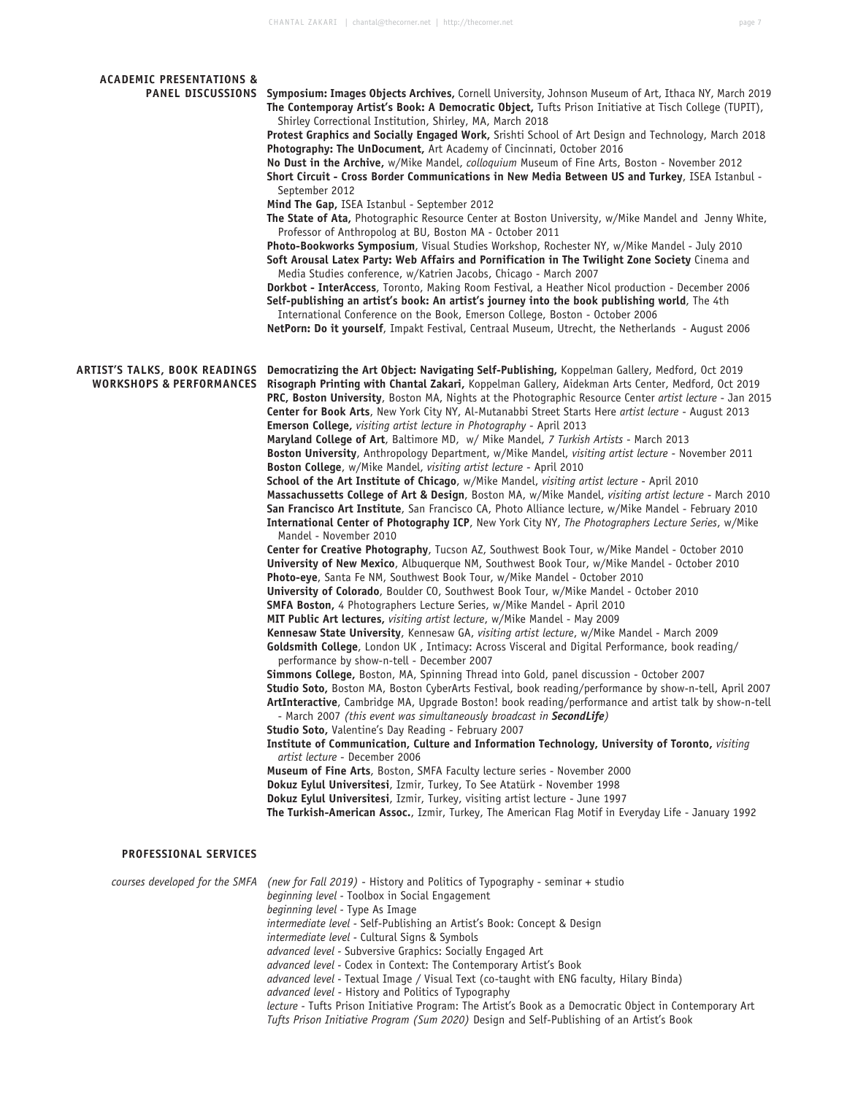| <b>ACADEMIC PRESENTATIONS &amp;</b><br><b>PANEL DISCUSSIONS</b>             | Symposium: Images Objects Archives, Cornell University, Johnson Museum of Art, Ithaca NY, March 2019<br>The Contemporay Artist's Book: A Democratic Object, Tufts Prison Initiative at Tisch College (TUPIT),<br>Shirley Correctional Institution, Shirley, MA, March 2018<br>Protest Graphics and Socially Engaged Work, Srishti School of Art Design and Technology, March 2018<br>Photography: The UnDocument, Art Academy of Cincinnati, October 2016<br>No Dust in the Archive, w/Mike Mandel, colloquium Museum of Fine Arts, Boston - November 2012<br>Short Circuit - Cross Border Communications in New Media Between US and Turkey, ISEA Istanbul -<br>September 2012<br>Mind The Gap, ISEA Istanbul - September 2012<br>The State of Ata, Photographic Resource Center at Boston University, w/Mike Mandel and Jenny White,<br>Professor of Anthropolog at BU, Boston MA - October 2011<br>Photo-Bookworks Symposium, Visual Studies Workshop, Rochester NY, w/Mike Mandel - July 2010<br>Soft Arousal Latex Party: Web Affairs and Pornification in The Twilight Zone Society Cinema and<br>Media Studies conference, w/Katrien Jacobs, Chicago - March 2007<br>Dorkbot - InterAccess, Toronto, Making Room Festival, a Heather Nicol production - December 2006<br>Self-publishing an artist's book: An artist's journey into the book publishing world, The 4th<br>International Conference on the Book, Emerson College, Boston - October 2006<br>NetPorn: Do it yourself, Impakt Festival, Centraal Museum, Utrecht, the Netherlands - August 2006 |
|-----------------------------------------------------------------------------|--------------------------------------------------------------------------------------------------------------------------------------------------------------------------------------------------------------------------------------------------------------------------------------------------------------------------------------------------------------------------------------------------------------------------------------------------------------------------------------------------------------------------------------------------------------------------------------------------------------------------------------------------------------------------------------------------------------------------------------------------------------------------------------------------------------------------------------------------------------------------------------------------------------------------------------------------------------------------------------------------------------------------------------------------------------------------------------------------------------------------------------------------------------------------------------------------------------------------------------------------------------------------------------------------------------------------------------------------------------------------------------------------------------------------------------------------------------------------------------------------------------------------------------------------------------------|
| <b>ARTIST'S TALKS, BOOK READINGS</b><br><b>WORKSHOPS &amp; PERFORMANCES</b> | Democratizing the Art Object: Navigating Self-Publishing, Koppelman Gallery, Medford, Oct 2019<br>Risograph Printing with Chantal Zakari, Koppelman Gallery, Aidekman Arts Center, Medford, Oct 2019<br>PRC, Boston University, Boston MA, Nights at the Photographic Resource Center artist lecture - Jan 2015<br>Center for Book Arts, New York City NY, Al-Mutanabbi Street Starts Here artist lecture - August 2013<br><b>Emerson College, visiting artist lecture in Photography - April 2013</b><br>Maryland College of Art, Baltimore MD, w/ Mike Mandel, 7 Turkish Artists - March 2013<br>Boston University, Anthropology Department, w/Mike Mandel, visiting artist lecture - November 2011<br>Boston College, w/Mike Mandel, visiting artist lecture - April 2010<br>School of the Art Institute of Chicago, w/Mike Mandel, visiting artist lecture - April 2010<br>Massachussetts College of Art & Design, Boston MA, w/Mike Mandel, visiting artist lecture - March 2010<br>San Francisco Art Institute, San Francisco CA, Photo Alliance lecture, w/Mike Mandel - February 2010<br>International Center of Photography ICP, New York City NY, The Photographers Lecture Series, w/Mike<br>Mandel - November 2010<br>Center for Creative Photography, Tucson AZ, Southwest Book Tour, w/Mike Mandel - October 2010<br>University of New Mexico, Albuquerque NM, Southwest Book Tour, w/Mike Mandel - October 2010                                                                                                                                     |
|                                                                             | Photo-eye, Santa Fe NM, Southwest Book Tour, w/Mike Mandel - October 2010<br>University of Colorado, Boulder CO, Southwest Book Tour, w/Mike Mandel - October 2010<br>SMFA Boston, 4 Photographers Lecture Series, w/Mike Mandel - April 2010<br>MIT Public Art lectures, visiting artist lecture, w/Mike Mandel - May 2009<br>Kennesaw State University, Kennesaw GA, visiting artist lecture, w/Mike Mandel - March 2009<br>Goldsmith College, London UK, Intimacy: Across Visceral and Digital Performance, book reading/<br>performance by show-n-tell - December 2007<br>Simmons College, Boston, MA, Spinning Thread into Gold, panel discussion - October 2007<br>Studio Soto, Boston MA, Boston CyberArts Festival, book reading/performance by show-n-tell, April 2007<br>ArtInteractive, Cambridge MA, Upgrade Boston! book reading/performance and artist talk by show-n-tell<br>- March 2007 (this event was simultaneously broadcast in SecondLife)<br>Studio Soto, Valentine's Day Reading - February 2007<br>Institute of Communication, Culture and Information Technology, University of Toronto, visiting<br>artist lecture - December 2006<br>Museum of Fine Arts, Boston, SMFA Faculty lecture series - November 2000<br>Dokuz Eylul Universitesi, Izmir, Turkey, To See Atatürk - November 1998<br>Dokuz Eylul Universitesi, Izmir, Turkey, visiting artist lecture - June 1997<br>The Turkish-American Assoc., Izmir, Turkey, The American Flag Motif in Everyday Life - January 1992                                                        |
| PROFESSIONAL SERVICES                                                       |                                                                                                                                                                                                                                                                                                                                                                                                                                                                                                                                                                                                                                                                                                                                                                                                                                                                                                                                                                                                                                                                                                                                                                                                                                                                                                                                                                                                                                                                                                                                                                    |
| courses developed for the SMFA                                              | (new for Fall 2019) - History and Politics of Typography - seminar + studio<br>beginning level - Toolbox in Social Engagement<br>beginning level - Type As Image<br>intermediate level - Self-Publishing an Artist's Book: Concept & Design<br>intermediate level - Cultural Signs & Symbols<br>advanced level - Subversive Graphics: Socially Engaged Art<br>advanced level - Codex in Context: The Contemporary Artist's Book<br>advanced level - Textual Image / Visual Text (co-taught with ENG faculty, Hilary Binda)                                                                                                                                                                                                                                                                                                                                                                                                                                                                                                                                                                                                                                                                                                                                                                                                                                                                                                                                                                                                                                         |

*advanced level* - History and Politics of Typography *lecture -* Tufts Prison Initiative Program: The Artist's Book as a Democratic Object in Contemporary Art

*Tufts Prison Initiative Program (Sum 2020)* Design and Self-Publishing of an Artist's Book